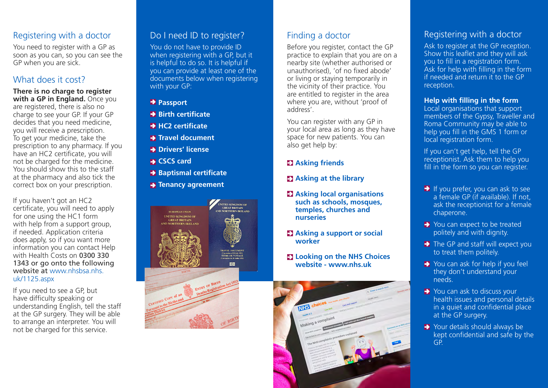#### Registering with a doctor

You need to register with a GP as soon as you can, so you can see the GP when you are sick.

#### What does it cost?

**There is no charge to register with a GP in England.** Once you are registered, there is also no charge to see your GP. If your GP decides that you need medicine, you will receive a prescription. To get your medicine, take the prescription to any pharmacy. If you have an HC2 certificate, you will not be charged for the medicine. You should show this to the staff at the pharmacy and also tick the correct box on your prescription.

If you haven't got an HC2 certificate, you will need to apply for one using the HC1 form with help from a support group, if needed. Application criteria does apply, so if you want more information you can contact Help with Health Costs on 0300 330 1343 or go onto the following website at www.nhshsa.nhs. uk/1125.aspx

If you need to see a GP, but have difficulty speaking or understanding English, tell the staff at the GP surgery. They will be able to arrange an interpreter. You will not be charged for this service.

#### Do I need ID to register?

You do not have to provide ID when registering with a GP, but it is helpful to do so. It is helpful if you can provide at least one of the documents below when registering with your GP:

- **→ Passport**
- **Birth certificate**
- **HC2 certificate**
- **Fravel document**
- **B** Drivers' license
- **CSCS card**
- **→ Baptismal certificate**
- **→ Tenancy agreement**





## Finding a doctor

Before you register, contact the GP practice to explain that you are on a nearby site (whether authorised or unauthorised), 'of no fixed abode' or living or staying temporarily in the vicinity of their practice. You are entitled to register in the area where you are, without 'proof of address'.

You can register with any GP in your local area as long as they have space for new patients. You can also get help by:

#### **Asking friends**

#### **EX Asking at the library**

- **Asking local organisations such as schools, mosques, temples, churches and nurseries**
- **Asking a support or social worker**
- **Looking on the NHS Choices website - www.nhs.uk**



## Registering with a doctor

Ask to register at the GP reception. Show this leaflet and they will ask you to fill in a registration form. Ask for help with filling in the form if needed and return it to the GP reception.

#### **Help with filling in the form**

Local organisations that support members of the Gypsy, Traveller and Roma Community may be able to help you fill in the GMS 1 form or local registration form.

If you can't get help, tell the GP receptionist. Ask them to help you fill in the form so you can register.

- $\rightarrow$  If you prefer, you can ask to see a female GP (if available). If not, ask the receptionist for a female chaperone.
- You can expect to be treated politely and with dignity.
- $\rightarrow$  The GP and staff will expect you to treat them politely.
- ◆ You can ask for help if you feel they don't understand your needs.
- ◆ You can ask to discuss your health issues and personal details in a quiet and confidential place at the GP surgery.
- Your details should always be kept confidential and safe by the GP.